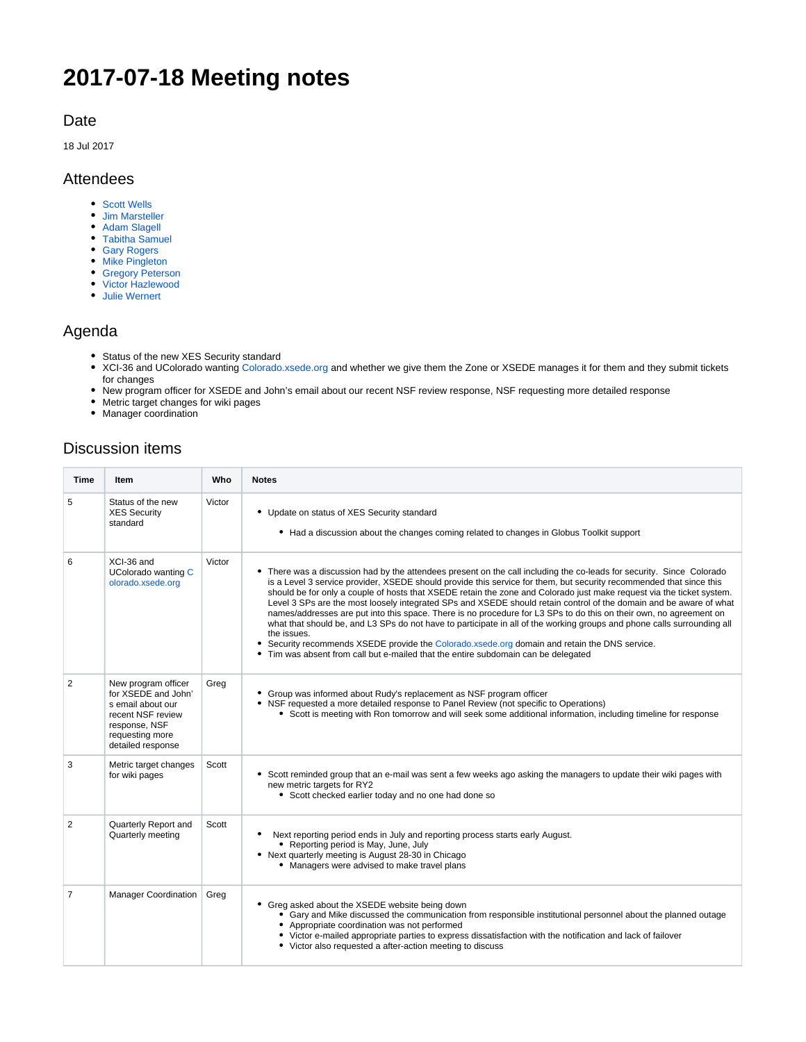# **2017-07-18 Meeting notes**

### Date

18 Jul 2017

### Attendees

- [Scott Wells](https://confluence.xsede.org/display/~swells)
- [Jim Marsteller](https://confluence.xsede.org/display/~jam)
- [Adam Slagell](https://confluence.xsede.org/display/~slagell)
- [Tabitha Samuel](https://confluence.xsede.org/display/~tsamuel)
- [Gary Rogers](https://confluence.xsede.org/display/~admin)
- [Mike Pingleton](https://confluence.xsede.org/display/~pingleto)
- [Gregory Peterson](https://confluence.xsede.org/display/~gdp) • [Victor Hazlewood](https://confluence.xsede.org/display/~victorh)
- [Julie Wernert](https://confluence.xsede.org/display/~jwernert)

## Agenda

- Status of the new XES Security standard
- XCI-36 and UColorado wanting [Colorado.xsede.org](http://Colorado.xsede.org) and whether we give them the Zone or XSEDE manages it for them and they submit tickets for changes
- New program officer for XSEDE and John's email about our recent NSF review response, NSF requesting more detailed response
- Metric target changes for wiki pages
- Manager coordination

# Discussion items

| <b>Time</b>    | <b>Item</b>                                                                                                                                   | Who    | <b>Notes</b>                                                                                                                                                                                                                                                                                                                                                                                                                                                                                                                                                                                                                                                                                                                                                                                                                                                                                                                                          |
|----------------|-----------------------------------------------------------------------------------------------------------------------------------------------|--------|-------------------------------------------------------------------------------------------------------------------------------------------------------------------------------------------------------------------------------------------------------------------------------------------------------------------------------------------------------------------------------------------------------------------------------------------------------------------------------------------------------------------------------------------------------------------------------------------------------------------------------------------------------------------------------------------------------------------------------------------------------------------------------------------------------------------------------------------------------------------------------------------------------------------------------------------------------|
| 5              | Status of the new<br><b>XES Security</b><br>standard                                                                                          | Victor | • Update on status of XES Security standard<br>• Had a discussion about the changes coming related to changes in Globus Toolkit support                                                                                                                                                                                                                                                                                                                                                                                                                                                                                                                                                                                                                                                                                                                                                                                                               |
| 6              | XCI-36 and<br>UColorado wanting C<br>olorado.xsede.org                                                                                        | Victor | • There was a discussion had by the attendees present on the call including the co-leads for security. Since Colorado<br>is a Level 3 service provider, XSEDE should provide this service for them, but security recommended that since this<br>should be for only a couple of hosts that XSEDE retain the zone and Colorado just make request via the ticket system.<br>Level 3 SPs are the most loosely integrated SPs and XSEDE should retain control of the domain and be aware of what<br>names/addresses are put into this space. There is no procedure for L3 SPs to do this on their own, no agreement on<br>what that should be, and L3 SPs do not have to participate in all of the working groups and phone calls surrounding all<br>the issues.<br>Security recommends XSEDE provide the Colorado.xsede.org domain and retain the DNS service.<br>٠<br>• Tim was absent from call but e-mailed that the entire subdomain can be delegated |
| 2              | New program officer<br>for XSEDE and John'<br>s email about our<br>recent NSF review<br>response, NSF<br>requesting more<br>detailed response | Greg   | • Group was informed about Rudy's replacement as NSF program officer<br>• NSF requested a more detailed response to Panel Review (not specific to Operations)<br>• Scott is meeting with Ron tomorrow and will seek some additional information, including timeline for response                                                                                                                                                                                                                                                                                                                                                                                                                                                                                                                                                                                                                                                                      |
| 3              | Metric target changes<br>for wiki pages                                                                                                       | Scott  | • Scott reminded group that an e-mail was sent a few weeks ago asking the managers to update their wiki pages with<br>new metric targets for RY2<br>• Scott checked earlier today and no one had done so                                                                                                                                                                                                                                                                                                                                                                                                                                                                                                                                                                                                                                                                                                                                              |
| 2              | Quarterly Report and<br>Quarterly meeting                                                                                                     | Scott  | Next reporting period ends in July and reporting process starts early August.<br>• Reporting period is May, June, July<br>• Next quarterly meeting is August 28-30 in Chicago<br>• Managers were advised to make travel plans                                                                                                                                                                                                                                                                                                                                                                                                                                                                                                                                                                                                                                                                                                                         |
| $\overline{7}$ | <b>Manager Coordination</b>                                                                                                                   | Greg   | • Greg asked about the XSEDE website being down<br>• Gary and Mike discussed the communication from responsible institutional personnel about the planned outage<br>• Appropriate coordination was not performed<br>• Victor e-mailed appropriate parties to express dissatisfaction with the notification and lack of failover<br>• Victor also requested a after-action meeting to discuss                                                                                                                                                                                                                                                                                                                                                                                                                                                                                                                                                          |